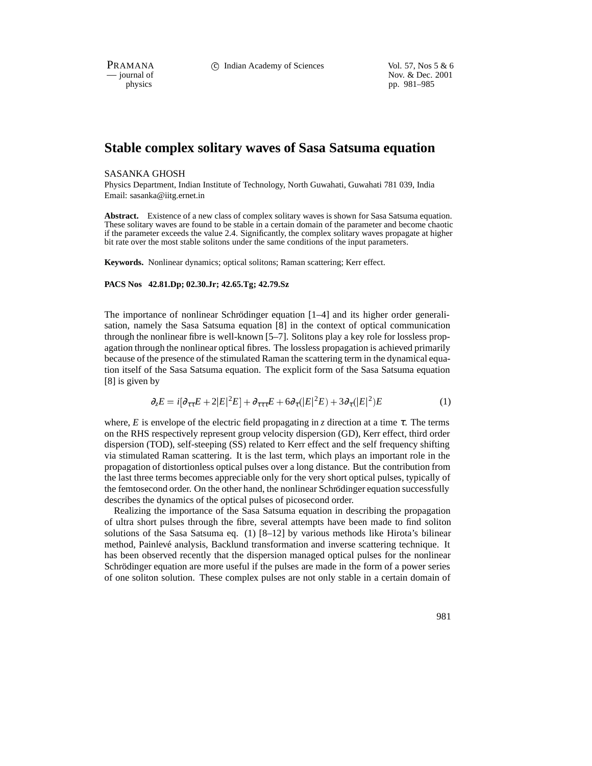PRAMANA 
c Indian Academy of Sciences Vol. 57, Nos 5 & 6<br>
iournal of Nov. & Dec. 2001 position of Nov. & Dec. 2001<br>
physics pp. 981–985 pp. 981–985

# **Stable complex solitary waves of Sasa Satsuma equation**

# SASANKA GHOSH

Physics Department, Indian Institute of Technology, North Guwahati, Guwahati 781 039, India Email: sasanka@iitg.ernet.in

**Abstract.** Existence of a new class of complex solitary waves is shown for Sasa Satsuma equation. These solitary waves are found to be stable in a certain domain of the parameter and become chaotic if the parameter exceeds the value 2.4. Significantly, the complex solitary waves propagate at higher bit rate over the most stable solitons under the same conditions of the input parameters.

**Keywords.** Nonlinear dynamics; optical solitons; Raman scattering; Kerr effect.

## **PACS Nos 42.81.Dp; 02.30.Jr; 42.65.Tg; 42.79.Sz**

The importance of nonlinear Schrödinger equation  $[1-4]$  and its higher order generalisation, namely the Sasa Satsuma equation [8] in the context of optical communication through the nonlinear fibre is well-known [5–7]. Solitons play a key role for lossless propagation through the nonlinear optical fibres. The lossless propagation is achieved primarily because of the presence of the stimulated Raman the scattering term in the dynamical equation itself of the Sasa Satsuma equation. The explicit form of the Sasa Satsuma equation [8] is given by

$$
\partial_z E = i[\partial_{\tau\tau} E + 2|E|^2 E] + \partial_{\tau\tau\tau} E + 6\partial_{\tau}(|E|^2 E) + 3\partial_{\tau}(|E|^2) E \tag{1}
$$

where, *E* is envelope of the electric field propagating in *z* direction at a time  $\tau$ . The terms on the RHS respectively represent group velocity dispersion (GD), Kerr effect, third order dispersion (TOD), self-steeping (SS) related to Kerr effect and the self frequency shifting via stimulated Raman scattering. It is the last term, which plays an important role in the propagation of distortionless optical pulses over a long distance. But the contribution from the last three terms becomes appreciable only for the very short optical pulses, typically of the femtosecond order. On the other hand, the nonlinear Schrödinger equation successfully describes the dynamics of the optical pulses of picosecond order.

Realizing the importance of the Sasa Satsuma equation in describing the propagation of ultra short pulses through the fibre, several attempts have been made to find soliton solutions of the Sasa Satsuma eq. (1) [8–12] by various methods like Hirota's bilinear method, Painlevé analysis, Backlund transformation and inverse scattering technique. It has been observed recently that the dispersion managed optical pulses for the nonlinear Schrödinger equation are more useful if the pulses are made in the form of a power series of one soliton solution. These complex pulses are not only stable in a certain domain of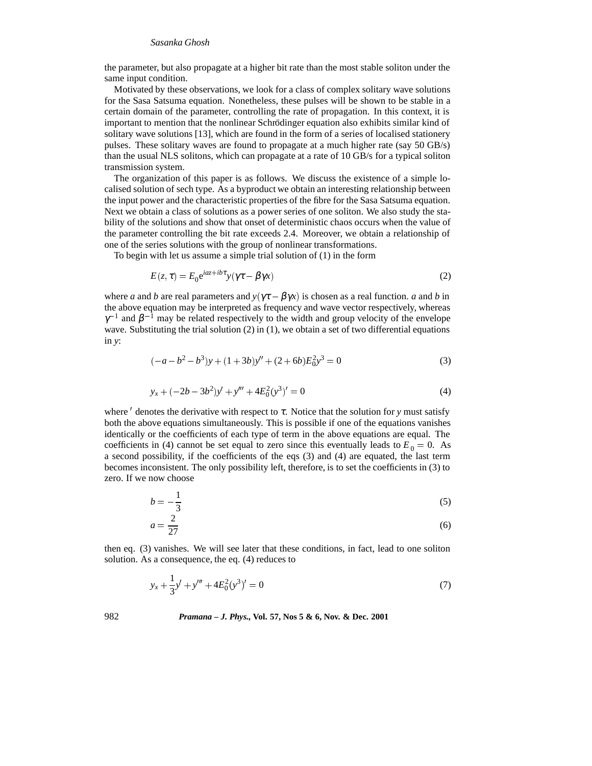## *Sasanka Ghosh*

the parameter, but also propagate at a higher bit rate than the most stable soliton under the same input condition.

Motivated by these observations, we look for a class of complex solitary wave solutions for the Sasa Satsuma equation. Nonetheless, these pulses will be shown to be stable in a certain domain of the parameter, controlling the rate of propagation. In this context, it is important to mention that the nonlinear Schrödinger equation also exhibits similar kind of solitary wave solutions [13], which are found in the form of a series of localised stationery pulses. These solitary waves are found to propagate at a much higher rate (say 50 GB/s) than the usual NLS solitons, which can propagate at a rate of 10 GB/s for a typical soliton transmission system.

The organization of this paper is as follows. We discuss the existence of a simple localised solution of sech type. As a byproduct we obtain an interesting relationship between the input power and the characteristic properties of the fibre for the Sasa Satsuma equation. Next we obtain a class of solutions as a power series of one soliton. We also study the stability of the solutions and show that onset of deterministic chaos occurs when the value of the parameter controlling the bit rate exceeds 2.4. Moreover, we obtain a relationship of one of the series solutions with the group of nonlinear transformations.

To begin with let us assume a simple trial solution of (1) in the form

$$
E(z,\tau) = E_0 e^{iaz + ib\tau} y(\gamma \tau - \beta \gamma x)
$$
\n(2)

where *a* and *b* are real parameters and  $y(\gamma \tau - \beta \gamma x)$  is chosen as a real function. *a* and *b* in the above equation may be interpreted as frequency and wave vector respectively, whereas  $\gamma^{-1}$  and  $\beta^{-1}$  may be related respectively to the width and group velocity of the envelope wave. Substituting the trial solution (2) in (1), we obtain a set of two differential equations in *y*:

$$
(-a - b2 – b3)y + (1 + 3b)y'' + (2 + 6b)E02y3 = 0
$$
 (3)

$$
y_x + (-2b - 3b^2)y' + y''' + 4E_0^2(y^3)' = 0
$$
\n(4)

where  $\prime$  denotes the derivative with respect to  $\tau$ . Notice that the solution for *y* must satisfy both the above equations simultaneously. This is possible if one of the equations vanishes identically or the coefficients of each type of term in the above equations are equal. The coefficients in (4) cannot be set equal to zero since this eventually leads to  $E_0 = 0$ . As a second possibility, if the coefficients of the eqs (3) and (4) are equated, the last term becomes inconsistent. The only possibility left, therefore, is to set the coefficients in (3) to zero. If we now choose

$$
b = -\frac{1}{3} \tag{5}
$$

$$
a = \frac{2}{27} \tag{6}
$$

then eq. (3) vanishes. We will see later that these conditions, in fact, lead to one soliton solution. As a consequence, the eq. (4) reduces to

$$
y_x + \frac{1}{3}y' + y''' + 4E_0^2(y^3)' = 0
$$
\n(7)

# 982 *Pramana – J. Phys.,* **Vol. 57, Nos 5 & 6, Nov. & Dec. 2001**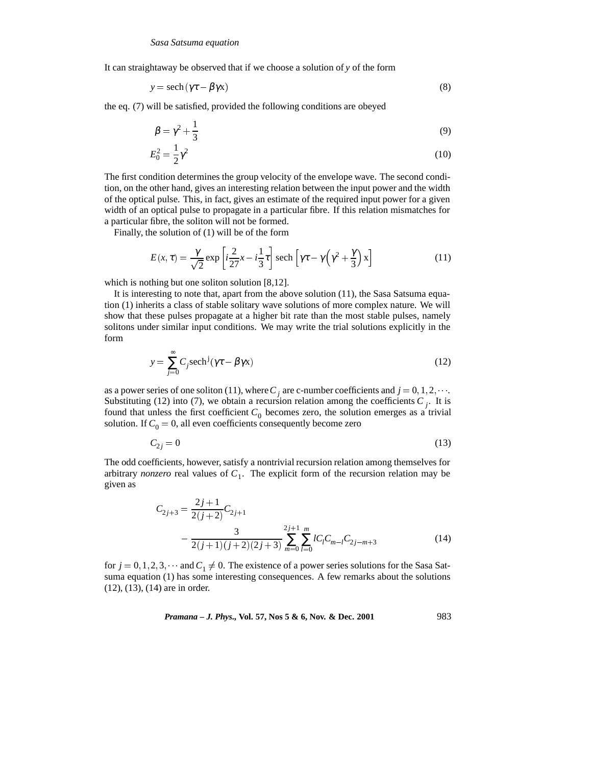It can straightaway be observed that if we choose a solution of *y* of the form

$$
y = sech(\gamma \tau - \beta \gamma x) \tag{8}
$$

the eq. (7) will be satisfied, provided the following conditions are obeyed

$$
\beta = \gamma^2 + \frac{1}{3} \tag{9}
$$

$$
E_0^2 = \frac{1}{2}\gamma^2\tag{10}
$$

The first condition determines the group velocity of the envelope wave. The second condition, on the other hand, gives an interesting relation between the input power and the width of the optical pulse. This, in fact, gives an estimate of the required input power for a given width of an optical pulse to propagate in a particular fibre. If this relation mismatches for a particular fibre, the soliton will not be formed.

Finally, the solution of (1) will be of the form

$$
E(x,\tau) = \frac{\gamma}{\sqrt{2}} \exp\left[i\frac{2}{2\tau}x - i\frac{1}{3}\tau\right] \operatorname{sech}\left[\gamma\tau - \gamma\left(\gamma^2 + \frac{\gamma}{3}\right)x\right]
$$
(11)

which is nothing but one soliton solution [8,12].

It is interesting to note that, apart from the above solution (11), the Sasa Satsuma equation (1) inherits a class of stable solitary wave solutions of more complex nature. We will show that these pulses propagate at a higher bit rate than the most stable pulses, namely solitons under similar input conditions. We may write the trial solutions explicitly in the form

$$
y = \sum_{j=0}^{\infty} C_j \operatorname{sech}^j(\gamma \tau - \beta \gamma x)
$$
 (12)

as a power series of one soliton (11), where  $C_i$  are c-number coefficients and  $j = 0, 1, 2, \cdots$ . Substituting (12) into (7), we obtain a recursion relation among the coefficients  $C_j$ . It is found that unless the first coefficient  $C_0$  becomes zero, the solution emerges as a trivial solution. If  $C_0 = 0$ , all even coefficients consequently become zero

$$
C_{2j} = 0 \tag{13}
$$

The odd coefficients, however, satisfy a nontrivial recursion relation among themselves for arbitrary *nonzero* real values of  $C_1$ . The explicit form of the recursion relation may be given as

$$
C_{2j+3} = \frac{2j+1}{2(j+2)} C_{2j+1}
$$
  
- 
$$
\frac{3}{2(j+1)(j+2)(2j+3)} \sum_{m=0}^{2j+1} \sum_{l=0}^{m} l C_l C_{m-l} C_{2j-m+3}
$$
 (14)

for  $j = 0, 1, 2, 3, \dots$  and  $C_1 \neq 0$ . The existence of a power series solutions for the Sasa Satsuma equation (1) has some interesting consequences. A few remarks about the solutions (12), (13), (14) are in order.

*Pramana – J. Phys.,* **Vol. 57, Nos 5 & 6, Nov. & Dec. 2001** 983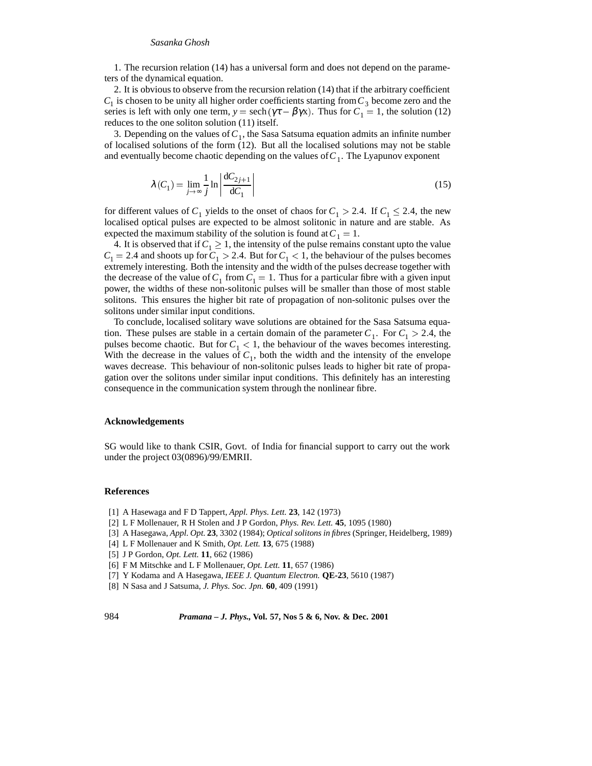### *Sasanka Ghosh*

1. The recursion relation (14) has a universal form and does not depend on the parameters of the dynamical equation.

2. It is obvious to observe from the recursion relation (14) that if the arbitrary coefficient  $C_1$  is chosen to be unity all higher order coefficients starting from  $C_3$  become zero and the series is left with only one term,  $y = sech(\gamma \tau - \beta \gamma x)$ . Thus for  $C_1 = 1$ , the solution (12) reduces to the one soliton solution (11) itself.

3. Depending on the values of  $C_1$ , the Sasa Satsuma equation admits an infinite number of localised solutions of the form (12). But all the localised solutions may not be stable and eventually become chaotic depending on the values of  $C_1$ . The Lyapunov exponent

$$
\lambda(C_1) = \lim_{j \to \infty} \frac{1}{j} \ln \left| \frac{\mathrm{d}C_{2j+1}}{\mathrm{d}C_1} \right| \tag{15}
$$

for different values of  $C_1$  yields to the onset of chaos for  $C_1 > 2.4$ . If  $C_1 \leq 2.4$ , the new localised optical pulses are expected to be almost solitonic in nature and are stable. As expected the maximum stability of the solution is found at  $C_1 = 1$ .

4. It is observed that if  $C_1 \geq 1$ , the intensity of the pulse remains constant upto the value  $C_1 = 2.4$  and shoots up for  $C_1 > 2.4$ . But for  $C_1 < 1$ , the behaviour of the pulses becomes extremely interesting. Both the intensity and the width of the pulses decrease together with the decrease of the value of  $C_1$  from  $C_1 = 1$ . Thus for a particular fibre with a given input power, the widths of these non-solitonic pulses will be smaller than those of most stable solitons. This ensures the higher bit rate of propagation of non-solitonic pulses over the solitons under similar input conditions.

To conclude, localised solitary wave solutions are obtained for the Sasa Satsuma equation. These pulses are stable in a certain domain of the parameter  $C_1$ . For  $C_1 > 2.4$ , the pulses become chaotic. But for  $C_1 < 1$ , the behaviour of the waves becomes interesting. With the decrease in the values of  $C_1$ , both the width and the intensity of the envelope waves decrease. This behaviour of non-solitonic pulses leads to higher bit rate of propagation over the solitons under similar input conditions. This definitely has an interesting consequence in the communication system through the nonlinear fibre.

#### **Acknowledgements**

SG would like to thank CSIR, Govt. of India for financial support to carry out the work under the project 03(0896)/99/EMRII.

#### **References**

- [1] A Hasewaga and F D Tappert, *Appl. Phys. Lett.* **23**, 142 (1973)
- [2] L F Mollenauer, R H Stolen and J P Gordon, *Phys. Rev. Lett.* **45**, 1095 (1980)
- [3] A Hasegawa, *Appl. Opt.* **23**, 3302 (1984); *Optical solitons in fibres* (Springer, Heidelberg, 1989)
- [4] L F Mollenauer and K Smith, *Opt. Lett.* **13**, 675 (1988)
- [5] J P Gordon, *Opt. Lett.* **11**, 662 (1986)
- [6] F M Mitschke and L F Mollenauer, *Opt. Lett.* **11**, 657 (1986)
- [7] Y Kodama and A Hasegawa, *IEEE J. Quantum Electron.* **QE-23**, 5610 (1987)
- [8] N Sasa and J Satsuma, *J. Phys. Soc. Jpn.* **60**, 409 (1991)